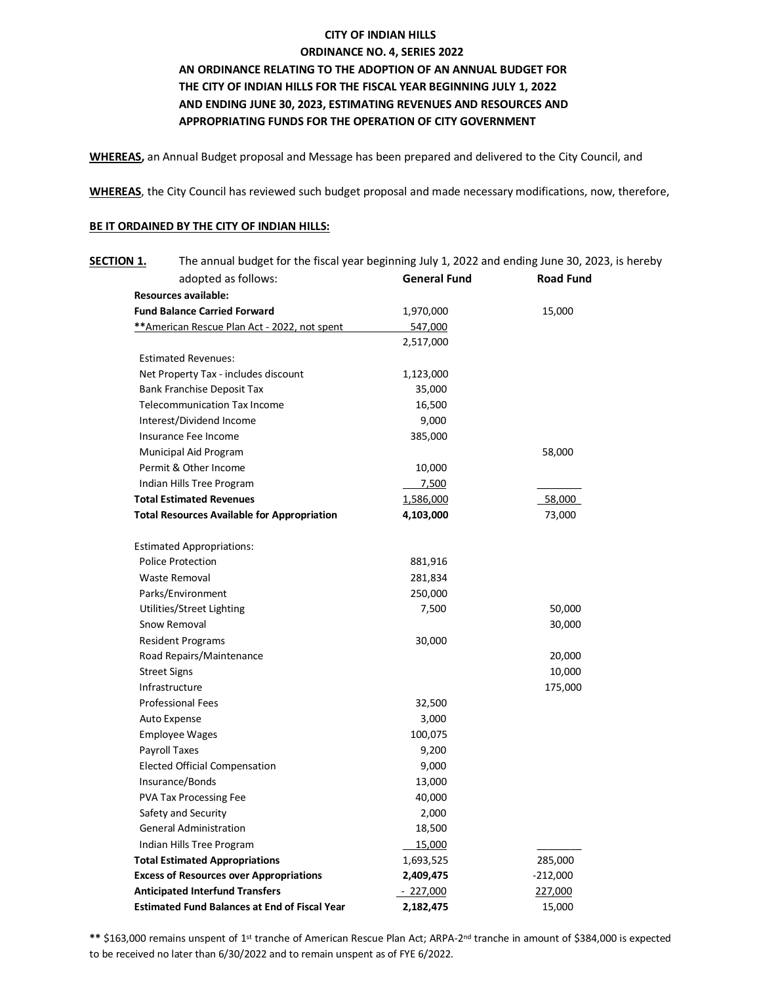## **CITY OF INDIAN HILLS ORDINANCE NO. 4, SERIES 2022**

## **AN ORDINANCE RELATING TO THE ADOPTION OF AN ANNUAL BUDGET FOR THE CITY OF INDIAN HILLS FOR THE FISCAL YEAR BEGINNING JULY 1, 2022 AND ENDING JUNE 30, 2023, ESTIMATING REVENUES AND RESOURCES AND APPROPRIATING FUNDS FOR THE OPERATION OF CITY GOVERNMENT**

**WHEREAS,** an Annual Budget proposal and Message has been prepared and delivered to the City Council, and

**WHEREAS**, the City Council has reviewed such budget proposal and made necessary modifications, now, therefore,

## **BE IT ORDAINED BY THE CITY OF INDIAN HILLS:**

| <b>SECTION 1.</b>                            | The annual budget for the fiscal year beginning July 1, 2022 and ending June 30, 2023, is hereby |                     |                  |
|----------------------------------------------|--------------------------------------------------------------------------------------------------|---------------------|------------------|
|                                              | adopted as follows:                                                                              | <b>General Fund</b> | <b>Road Fund</b> |
|                                              | <b>Resources available:</b>                                                                      |                     |                  |
| <b>Fund Balance Carried Forward</b>          |                                                                                                  | 1,970,000           | 15,000           |
| **American Rescue Plan Act - 2022, not spent |                                                                                                  | 547,000             |                  |
|                                              |                                                                                                  | 2,517,000           |                  |
|                                              | <b>Estimated Revenues:</b>                                                                       |                     |                  |
| Net Property Tax - includes discount         |                                                                                                  | 1,123,000           |                  |
| Bank Franchise Deposit Tax                   |                                                                                                  | 35,000              |                  |
| <b>Telecommunication Tax Income</b>          |                                                                                                  | 16,500              |                  |
|                                              | Interest/Dividend Income                                                                         | 9,000               |                  |
| Insurance Fee Income                         |                                                                                                  | 385,000             |                  |
| Municipal Aid Program                        |                                                                                                  |                     | 58,000           |
|                                              | Permit & Other Income                                                                            | 10,000              |                  |
|                                              | Indian Hills Tree Program                                                                        | 7,500               |                  |
| <b>Total Estimated Revenues</b>              |                                                                                                  | 1,586,000           | 58,000           |
|                                              | <b>Total Resources Available for Appropriation</b>                                               | 4,103,000           | 73,000           |
|                                              | <b>Estimated Appropriations:</b>                                                                 |                     |                  |
|                                              | <b>Police Protection</b>                                                                         | 881,916             |                  |
| Waste Removal                                |                                                                                                  | 281,834             |                  |
|                                              | Parks/Environment                                                                                | 250,000             |                  |
|                                              | Utilities/Street Lighting                                                                        | 7,500               | 50,000           |
|                                              | Snow Removal                                                                                     |                     | 30,000           |
|                                              | <b>Resident Programs</b>                                                                         | 30,000              |                  |
|                                              | Road Repairs/Maintenance                                                                         |                     | 20,000           |
|                                              | <b>Street Signs</b>                                                                              |                     | 10,000           |
|                                              | Infrastructure                                                                                   |                     | 175,000          |
|                                              | <b>Professional Fees</b>                                                                         | 32,500              |                  |
|                                              | Auto Expense                                                                                     | 3,000               |                  |
|                                              | <b>Employee Wages</b>                                                                            | 100,075             |                  |
|                                              | Payroll Taxes                                                                                    | 9,200               |                  |
|                                              | <b>Elected Official Compensation</b>                                                             | 9,000               |                  |
|                                              | Insurance/Bonds                                                                                  | 13,000              |                  |
|                                              | <b>PVA Tax Processing Fee</b>                                                                    | 40,000              |                  |
|                                              | Safety and Security                                                                              | 2,000               |                  |
|                                              | <b>General Administration</b>                                                                    | 18,500              |                  |
|                                              | Indian Hills Tree Program                                                                        | 15,000              |                  |
| <b>Total Estimated Appropriations</b>        |                                                                                                  | 1,693,525           | 285,000          |
|                                              | <b>Excess of Resources over Appropriations</b>                                                   | 2,409,475           | $-212,000$       |
|                                              | <b>Anticipated Interfund Transfers</b>                                                           | $-227,000$          | 227,000          |
|                                              | <b>Estimated Fund Balances at End of Fiscal Year</b>                                             | 2,182,475           | 15,000           |

\*\* \$163,000 remains unspent of 1<sup>st</sup> tranche of American Rescue Plan Act; ARPA-2<sup>nd</sup> tranche in amount of \$384,000 is expected to be received no later than 6/30/2022 and to remain unspent as of FYE 6/2022.